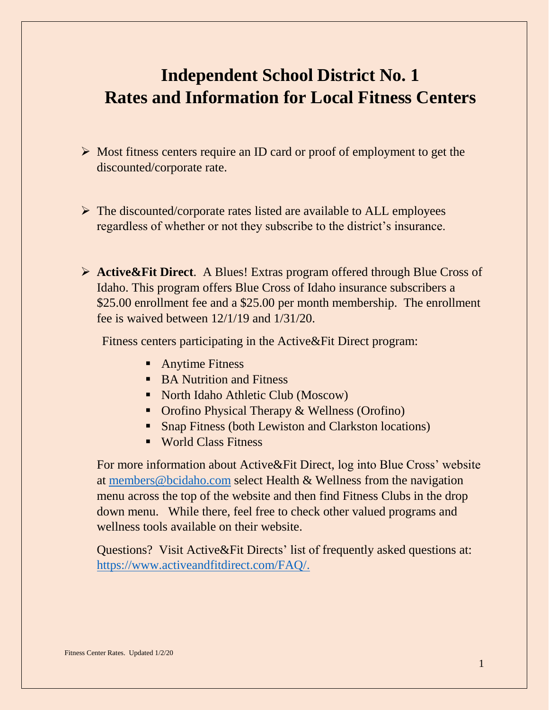# **Independent School District No. 1 Rates and Information for Local Fitness Centers**

- $\triangleright$  Most fitness centers require an ID card or proof of employment to get the discounted/corporate rate.
- $\triangleright$  The discounted/corporate rates listed are available to ALL employees regardless of whether or not they subscribe to the district's insurance.
- **Active&Fit Direct**. A Blues! Extras program offered through Blue Cross of Idaho. This program offers Blue Cross of Idaho insurance subscribers a \$25.00 enrollment fee and a \$25.00 per month membership. The enrollment fee is waived between 12/1/19 and 1/31/20.

Fitness centers participating in the Active&Fit Direct program:

- **Anytime Fitness**
- BA Nutrition and Fitness
- North Idaho Athletic Club (Moscow)
- Orofino Physical Therapy & Wellness (Orofino)
- Snap Fitness (both Lewiston and Clarkston locations)
- World Class Fitness

For more information about Active&Fit Direct, log into Blue Cross' website at [members@bcidaho.com](mailto:members@bcidaho.com) select Health & Wellness from the navigation menu across the top of the website and then find Fitness Clubs in the drop down menu. While there, feel free to check other valued programs and wellness tools available on their website.

Questions? Visit Active&Fit Directs' list of frequently asked questions at: [https://www.activeandfitdirect.com/FAQ/.](https://www.activeandfitdirect.com/FAQ/)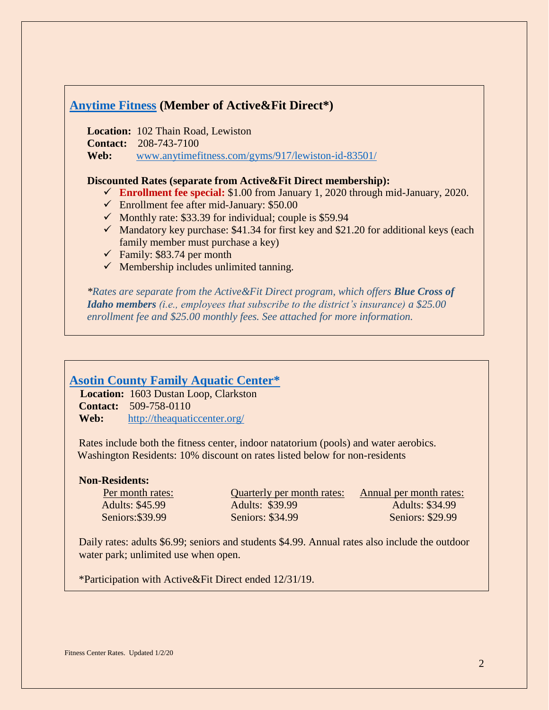# **[Anytime Fitness](https://www.anytimefitness.com/gyms/917/Lewiston-ID-83501/?utm_source=bing&utm_medium=local&utm_campaign=localmaps&utm_content=917) (Member of Active&Fit Direct\*)**

**Location:** 102 Thain Road, Lewiston

**Contact:** 208-743-7100

**Web:** [www.anytimefitness.com/gyms/917/lewiston-id-83501/](http://www.anytimefitness.com/gyms/917/lewiston-id-83501/)

#### **Discounted Rates (separate from Active&Fit Direct membership):**

- **Enrollment fee special:** \$1.00 from January 1, 2020 through mid-January, 2020.
- $\checkmark$  Enrollment fee after mid-January: \$50.00
- $\checkmark$  Monthly rate: \$33.39 for individual; couple is \$59.94
- $\checkmark$  Mandatory key purchase: \$41.34 for first key and \$21.20 for additional keys (each family member must purchase a key)
- $\checkmark$  Family: \$83.74 per month
- $\checkmark$  Membership includes unlimited tanning.

*\*Rates are separate from the Active&Fit Direct program, which offers Blue Cross of Idaho members (i.e., employees that subscribe to the district's insurance) a \$25.00 enrollment fee and \$25.00 monthly fees. See attached for more information.*

## **[Asotin County Family Aquatic Center\\*](https://theaquaticcenter.org/)**

 **Location:** 1603 Dustan Loop, Clarkston **Contact:** 509-758-0110 **Web:** <http://theaquaticcenter.org/>

Rates include both the fitness center, indoor natatorium (pools) and water aerobics. Washington Residents: 10% discount on rates listed below for non-residents

#### **Non-Residents:**

Adults: \$45.99 Adults: \$39.99 Adults: \$34.99 Seniors:\$39.99 Seniors: \$34.99 Seniors: \$29.99

Per month rates: Quarterly per month rates: Annual per month rates:

Daily rates: adults \$6.99; seniors and students \$4.99. Annual rates also include the outdoor water park; unlimited use when open.

\*Participation with Active&Fit Direct ended 12/31/19.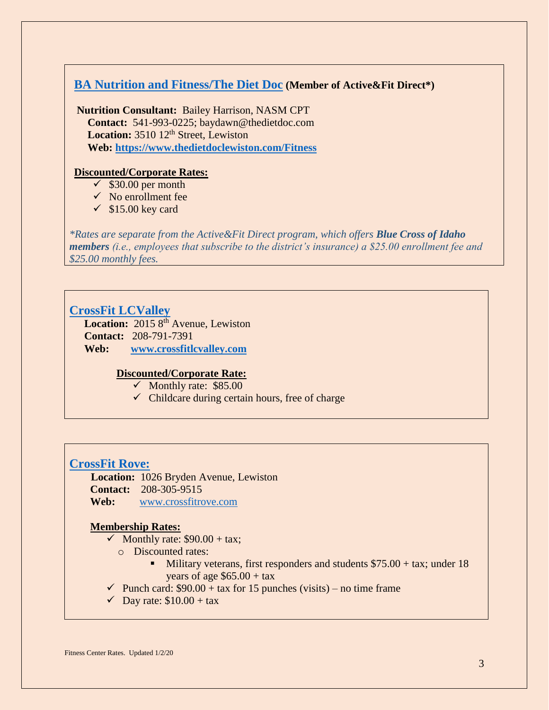# **[BA Nutrition and Fitness/The Diet Doc](http://www.thedietdoclewiston.com/) (Member of Active&Fit Direct\*)**

**Nutrition Consultant:** Bailey Harrison, NASM CPT  **Contact:** 541-993-0225; baydawn@thedietdoc.com **Location:** 3510 12<sup>th</sup> Street, Lewiston  **Web: <https://www.thedietdoclewiston.com/Fitness>**

#### **Discounted/Corporate Rates:**

- $\checkmark$  \$30.00 per month
- $\checkmark$  No enrollment fee
- $\checkmark$  \$15.00 key card

*\*Rates are separate from the Active&Fit Direct program, which offers Blue Cross of Idaho members (i.e., employees that subscribe to the district's insurance) a \$25.00 enrollment fee and \$25.00 monthly fees.*

### **[CrossFit LCValley](http://crossfitlcvalley.com/)**

Location: 2015 8<sup>th</sup> Avenue, Lewiston **Contact:** 208-791-7391 **Web: [www.crossfitlcvalley.com](http://www.crossfitlcvalley.com/)**

#### **Discounted/Corporate Rate:**

- $\checkmark$  Monthly rate: \$85.00
- $\checkmark$  Childcare during certain hours, free of charge

#### **[CrossFit](http://www.crossfitrove.com/) Rove:**

 **Location:** 1026 Bryden Avenue, Lewiston **Contact:** 208-305-9515 **Web:** [www.crossfitrove.com](http://www.crossfitrove.com/)

#### **Membership Rates:**

- $\checkmark$  Monthly rate: \$90.00 + tax;
	- o Discounted rates:
		- Military veterans, first responders and students  $$75.00 + tax$ ; under 18 years of age  $$65.00 + tax$
- $\checkmark$  Punch card: \$90.00 + tax for 15 punches (visits) no time frame
- $\checkmark$  Day rate: \$10.00 + tax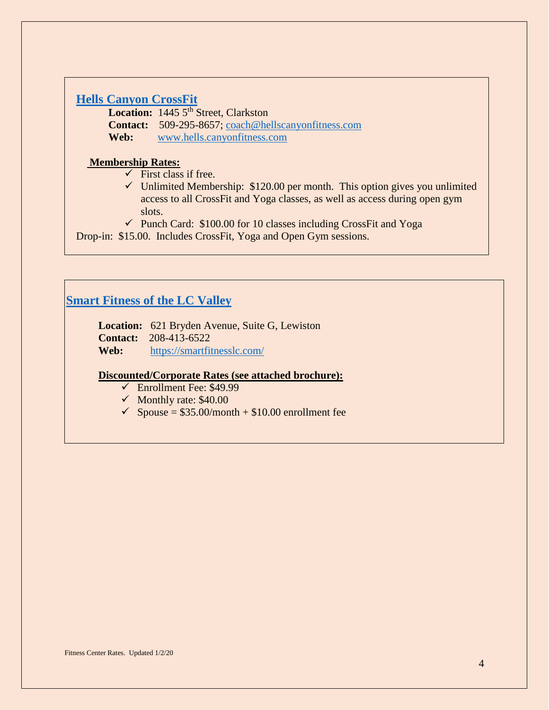# **[Hells Canyon CrossFit](https://www.hellscanyonfitness.com/)**

Location: 1445 5<sup>th</sup> Street, Clarkston **Contact:** 509-295-8657; [coach@hellscanyonfitness.com](mailto:coach@hellscanyonfitness.com) **Web:** [www.hells.canyonfitness.com](http://www.hells.canyonfitness.com/)

#### **Membership Rates:**

- $\checkmark$  First class if free.
- $\checkmark$  Unlimited Membership: \$120.00 per month. This option gives you unlimited access to all CrossFit and Yoga classes, as well as access during open gym slots.
- $\checkmark$  Punch Card: \$100.00 for 10 classes including CrossFit and Yoga

Drop-in: \$15.00. Includes CrossFit, Yoga and Open Gym sessions.

# **Smart Fitness [of the LC Valley](https://smartfitnesslc.com/)**

**Location:** 621 Bryden Avenue, Suite G, Lewiston **Contact:** 208-413-6522 **Web:** <https://smartfitnesslc.com/>

#### **Discounted/Corporate Rates (see attached brochure):**

- $\checkmark$  Enrollment Fee: \$49.99
- $\checkmark$  Monthly rate: \$40.00
- $\checkmark$  Spouse = \$35.00/month + \$10.00 enrollment fee